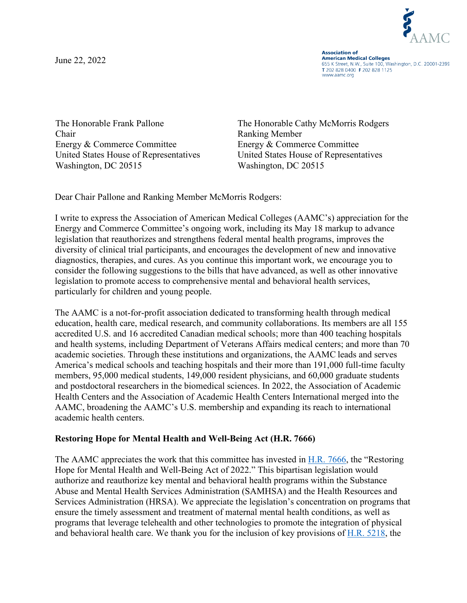June 22, 2022



**Association of American Medical Colleges** 655 K Street, N.W., Suite 100, Washington, D.C. 20001-2399 T 202 828 0400 F 202 828 1125 www.aamc.org

The Honorable Frank Pallone Chair Energy & Commerce Committee Washington, DC 20515 Washington, DC 20515

The Honorable Cathy McMorris Rodgers Ranking Member Energy & Commerce Committee United States House of Representatives United States House of Representatives

Dear Chair Pallone and Ranking Member McMorris Rodgers:

I write to express the Association of American Medical Colleges (AAMC's) appreciation for the Energy and Commerce Committee's ongoing work, including its May 18 markup to advance legislation that reauthorizes and strengthens federal mental health programs, improves the diversity of clinical trial participants, and encourages the development of new and innovative diagnostics, therapies, and cures. As you continue this important work, we encourage you to consider the following suggestions to the bills that have advanced, as well as other innovative legislation to promote access to comprehensive mental and behavioral health services, particularly for children and young people.

The AAMC is a not-for-profit association dedicated to transforming health through medical education, health care, medical research, and community collaborations. Its members are all 155 accredited U.S. and 16 accredited Canadian medical schools; more than 400 teaching hospitals and health systems, including Department of Veterans Affairs medical centers; and more than 70 academic societies. Through these institutions and organizations, the AAMC leads and serves America's medical schools and teaching hospitals and their more than 191,000 full-time faculty members, 95,000 medical students, 149,000 resident physicians, and 60,000 graduate students and postdoctoral researchers in the biomedical sciences. In 2022, the Association of Academic Health Centers and the Association of Academic Health Centers International merged into the AAMC, broadening the AAMC's U.S. membership and expanding its reach to international academic health centers.

## **Restoring Hope for Mental Health and Well-Being Act (H.R. 7666)**

The AAMC appreciates the work that this committee has invested in [H.R. 7666,](https://www.congress.gov/bill/117th-congress/house-bill/7666?s=1&r=2) the "Restoring Hope for Mental Health and Well-Being Act of 2022." This bipartisan legislation would authorize and reauthorize key mental and behavioral health programs within the Substance Abuse and Mental Health Services Administration (SAMHSA) and the Health Resources and Services Administration (HRSA). We appreciate the legislation's concentration on programs that ensure the timely assessment and treatment of maternal mental health conditions, as well as programs that leverage telehealth and other technologies to promote the integration of physical and behavioral health care. We thank you for the inclusion of key provisions of [H.R. 5218,](https://www.congress.gov/bill/117th-congress/house-bill/5218/text?r=8&s=1) the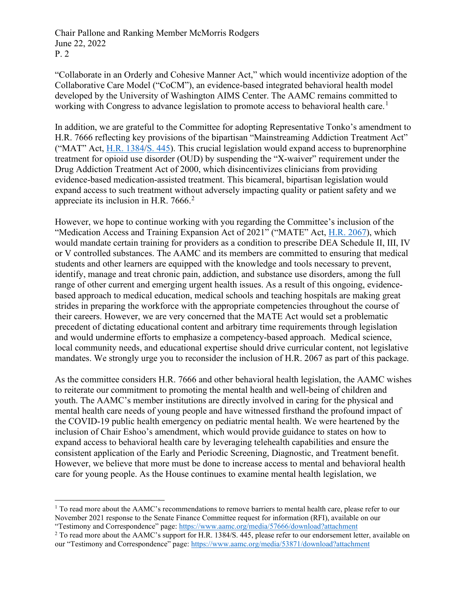Chair Pallone and Ranking Member McMorris Rodgers June 22, 2022 P. 2

"Collaborate in an Orderly and Cohesive Manner Act," which would incentivize adoption of the Collaborative Care Model ("CoCM"), an evidence-based integrated behavioral health model developed by the University of Washington AIMS Center. The AAMC remains committed to working with Congress to advance legislation to promote access to behavioral health care.<sup>[1](#page-1-0)</sup>

In addition, we are grateful to the Committee for adopting Representative Tonko's amendment to H.R. 7666 reflecting key provisions of the bipartisan "Mainstreaming Addiction Treatment Act" ("MAT" Act, [H.R. 1384/](https://www.congress.gov/bill/117th-congress/house-bill/1384)[S. 445\)](https://www.congress.gov/bill/117th-congress/senate-bill/445). This crucial legislation would expand access to buprenorphine treatment for opioid use disorder (OUD) by suspending the "X-waiver" requirement under the Drug Addiction Treatment Act of 2000, which disincentivizes clinicians from providing evidence-based medication-assisted treatment. This bicameral, bipartisan legislation would expand access to such treatment without adversely impacting quality or patient safety and we appreciate its inclusion in H.R.  $7666<sup>2</sup>$  $7666<sup>2</sup>$  $7666<sup>2</sup>$ 

However, we hope to continue working with you regarding the Committee's inclusion of the "Medication Access and Training Expansion Act of 2021" ("MATE" Act, [H.R. 2067\)](https://www.congress.gov/bill/117th-congress/house-bill/2067?q=%7B%22search%22%3A%5B%22MATE+Act+2021%22%2C%22MATE%22%2C%22Act%22%2C%222021%22%5D%7D&s=1&r=1), which would mandate certain training for providers as a condition to prescribe DEA Schedule II, III, IV or V controlled substances. The AAMC and its members are committed to ensuring that medical students and other learners are equipped with the knowledge and tools necessary to prevent, identify, manage and treat chronic pain, addiction, and substance use disorders, among the full range of other current and emerging urgent health issues. As a result of this ongoing, evidencebased approach to medical education, medical schools and teaching hospitals are making great strides in preparing the workforce with the appropriate competencies throughout the course of their careers. However, we are very concerned that the MATE Act would set a problematic precedent of dictating educational content and arbitrary time requirements through legislation and would undermine efforts to emphasize a competency-based approach. Medical science, local community needs, and educational expertise should drive curricular content, not legislative mandates. We strongly urge you to reconsider the inclusion of H.R. 2067 as part of this package.

As the committee considers H.R. 7666 and other behavioral health legislation, the AAMC wishes to reiterate our commitment to promoting the mental health and well-being of children and youth. The AAMC's member institutions are directly involved in caring for the physical and mental health care needs of young people and have witnessed firsthand the profound impact of the COVID-19 public health emergency on pediatric mental health. We were heartened by the inclusion of Chair Eshoo's amendment, which would provide guidance to states on how to expand access to behavioral health care by leveraging telehealth capabilities and ensure the consistent application of the Early and Periodic Screening, Diagnostic, and Treatment benefit. However, we believe that more must be done to increase access to mental and behavioral health care for young people. As the House continues to examine mental health legislation, we

<span id="page-1-0"></span> $1$  To read more about the AAMC's recommendations to remove barriers to mental health care, please refer to our November 2021 response to the Senate Finance Committee request for information (RFI), available on our "Testimony and Correspondence" page: <https://www.aamc.org/media/57666/download?attachment>

<span id="page-1-1"></span><sup>&</sup>lt;sup>2</sup> To read more about the AAMC's support for H.R. 1384/S. 445, please refer to our endorsement letter, available on our "Testimony and Correspondence" page: <https://www.aamc.org/media/53871/download?attachment>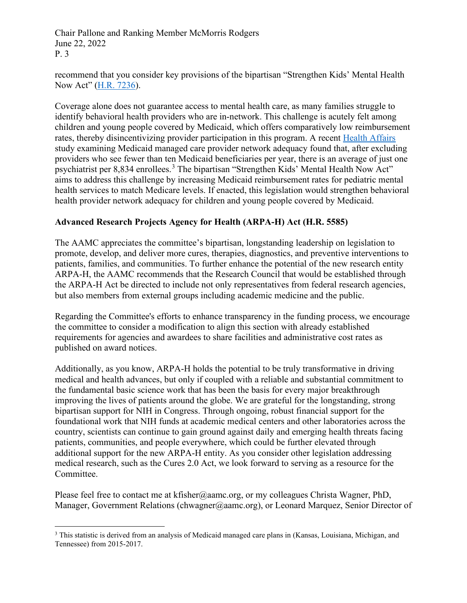Chair Pallone and Ranking Member McMorris Rodgers June 22, 2022 P. 3

recommend that you consider key provisions of the bipartisan "Strengthen Kids' Mental Health Now Act" [\(H.R. 7236\)](https://www.congress.gov/bill/117th-congress/house-bill/7236).

Coverage alone does not guarantee access to mental health care, as many families struggle to identify behavioral health providers who are in-network. This challenge is acutely felt among children and young people covered by Medicaid, which offers comparatively low reimbursement rates, thereby disincentivizing provider participation in this program. A recent [Health Affairs](https://theincidentaleconomist.us6.list-manage.com/track/click?u=e0c7abfa9389623beda06bbdc&id=a4d37b5ef6&e=7b8b57027f) study examining Medicaid managed care provider network adequacy found that, after excluding providers who see fewer than ten Medicaid beneficiaries per year, there is an average of just one psychiatrist per 8,8[3](#page-2-0)4 enrollees.<sup>3</sup> The bipartisan "Strengthen Kids' Mental Health Now Act" aims to address this challenge by increasing Medicaid reimbursement rates for pediatric mental health services to match Medicare levels. If enacted, this legislation would strengthen behavioral health provider network adequacy for children and young people covered by Medicaid.

## **Advanced Research Projects Agency for Health (ARPA-H) Act (H.R. 5585)**

The AAMC appreciates the committee's bipartisan, longstanding leadership on legislation to promote, develop, and deliver more cures, therapies, diagnostics, and preventive interventions to patients, families, and communities. To further enhance the potential of the new research entity ARPA-H, the AAMC recommends that the Research Council that would be established through the ARPA-H Act be directed to include not only representatives from federal research agencies, but also members from external groups including academic medicine and the public.

Regarding the Committee's efforts to enhance transparency in the funding process, we encourage the committee to consider a modification to align this section with already established requirements for agencies and awardees to share facilities and administrative cost rates as published on award notices.

Additionally, as you know, ARPA-H holds the potential to be truly transformative in driving medical and health advances, but only if coupled with a reliable and substantial commitment to the fundamental basic science work that has been the basis for every major breakthrough improving the lives of patients around the globe. We are grateful for the longstanding, strong bipartisan support for NIH in Congress. Through ongoing, robust financial support for the foundational work that NIH funds at academic medical centers and other laboratories across the country, scientists can continue to gain ground against daily and emerging health threats facing patients, communities, and people everywhere, which could be further elevated through additional support for the new ARPA-H entity. As you consider other legislation addressing medical research, such as the Cures 2.0 Act, we look forward to serving as a resource for the Committee.

Please feel free to contact me at kfisher@aamc.org, or my colleagues Christa Wagner, PhD, Manager, Government Relations (chwagner@aamc.org), or Leonard Marquez, Senior Director of

<span id="page-2-0"></span><sup>&</sup>lt;sup>3</sup> This statistic is derived from an analysis of Medicaid managed care plans in (Kansas, Louisiana, Michigan, and Tennessee) from 2015-2017.